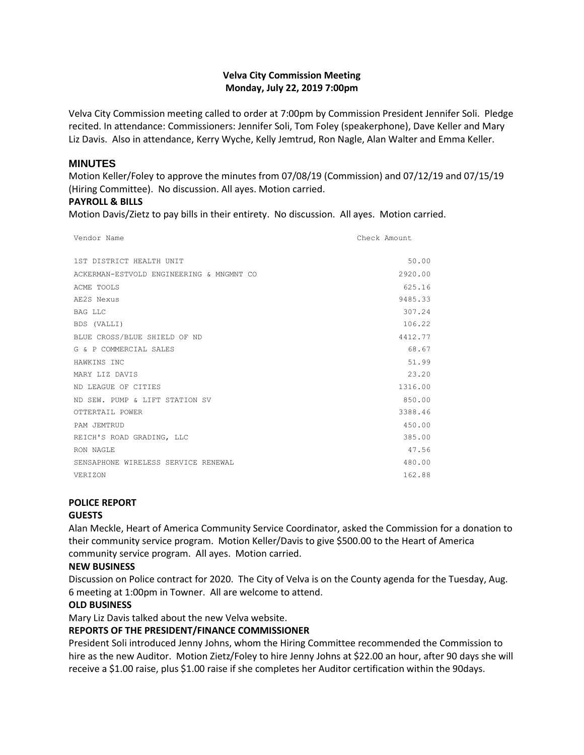## **Velva City Commission Meeting Monday, July 22, 2019 7:00pm**

Velva City Commission meeting called to order at 7:00pm by Commission President Jennifer Soli. Pledge recited. In attendance: Commissioners: Jennifer Soli, Tom Foley (speakerphone), Dave Keller and Mary Liz Davis. Also in attendance, Kerry Wyche, Kelly Jemtrud, Ron Nagle, Alan Walter and Emma Keller.

#### **MINUTES**

Motion Keller/Foley to approve the minutes from 07/08/19 (Commission) and 07/12/19 and 07/15/19 (Hiring Committee). No discussion. All ayes. Motion carried.

#### **PAYROLL & BILLS**

Motion Davis/Zietz to pay bills in their entirety. No discussion. All ayes. Motion carried.

| Vendor Name                              | Check Amount |
|------------------------------------------|--------------|
|                                          |              |
| 1ST DISTRICT HEALTH UNIT                 | 50.00        |
| ACKERMAN-ESTVOLD ENGINEERING & MNGMNT CO | 2920.00      |
| ACME TOOLS                               | 625.16       |
| AE2S Nexus                               | 9485.33      |
| BAG LLC                                  | 307.24       |
| BDS (VALLI)                              | 106.22       |
| BLUE CROSS/BLUE SHIELD OF ND             | 4412.77      |
| G & P COMMERCIAL SALES                   | 68.67        |
| HAWKINS INC                              | 51.99        |
| MARY LIZ DAVIS                           | 23.20        |
| ND LEAGUE OF CITIES                      | 1316.00      |
| ND SEW. PUMP & LIFT STATION SV           | 850.00       |
| OTTERTAIL POWER                          | 3388.46      |
| PAM JEMTRUD                              | 450.00       |
| REICH'S ROAD GRADING, LLC                | 385.00       |
| RON NAGLE                                | 47.56        |
| SENSAPHONE WIRELESS SERVICE RENEWAL      | 480.00       |
| VERIZON                                  | 162.88       |

# **POLICE REPORT**

#### **GUESTS**

Alan Meckle, Heart of America Community Service Coordinator, asked the Commission for a donation to their community service program. Motion Keller/Davis to give \$500.00 to the Heart of America community service program. All ayes. Motion carried.

# **NEW BUSINESS**

Discussion on Police contract for 2020. The City of Velva is on the County agenda for the Tuesday, Aug. 6 meeting at 1:00pm in Towner. All are welcome to attend.

# **OLD BUSINESS**

Mary Liz Davis talked about the new Velva website.

# **REPORTS OF THE PRESIDENT/FINANCE COMMISSIONER**

President Soli introduced Jenny Johns, whom the Hiring Committee recommended the Commission to hire as the new Auditor. Motion Zietz/Foley to hire Jenny Johns at \$22.00 an hour, after 90 days she will receive a \$1.00 raise, plus \$1.00 raise if she completes her Auditor certification within the 90days.